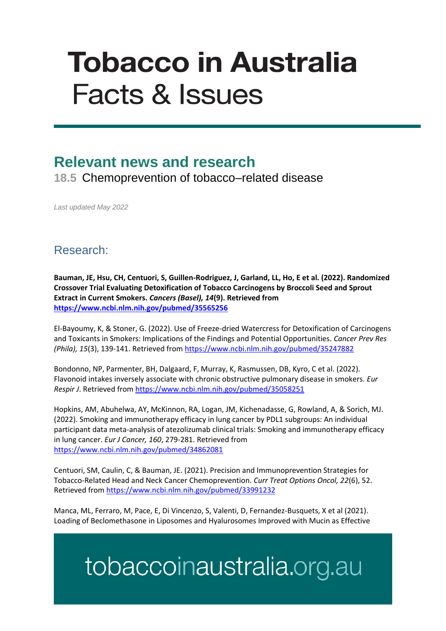# **Tobacco in Australia Facts & Issues**

### **Relevant news and research**

**18.5** Chemoprevention of tobacco–related disease

*Last updated May 2022*

#### Research:

**Bauman, JE, Hsu, CH, Centuori, S, Guillen-Rodriguez, J, Garland, LL, Ho, E et al. (2022). Randomized Crossover Trial Evaluating Detoxification of Tobacco Carcinogens by Broccoli Seed and Sprout Extract in Current Smokers.** *Cancers (Basel), 14***(9). Retrieved from <https://www.ncbi.nlm.nih.gov/pubmed/35565256>**

El-Bayoumy, K, & Stoner, G. (2022). Use of Freeze-dried Watercress for Detoxification of Carcinogens and Toxicants in Smokers: Implications of the Findings and Potential Opportunities. *Cancer Prev Res (Phila), 15*(3), 139-141. Retrieved fro[m https://www.ncbi.nlm.nih.gov/pubmed/35247882](https://www.ncbi.nlm.nih.gov/pubmed/35247882)

Bondonno, NP, Parmenter, BH, Dalgaard, F, Murray, K, Rasmussen, DB, Kyro, C et al. (2022). Flavonoid intakes inversely associate with chronic obstructive pulmonary disease in smokers. *Eur Respir J*. Retrieved fro[m https://www.ncbi.nlm.nih.gov/pubmed/35058251](https://www.ncbi.nlm.nih.gov/pubmed/35058251)

Hopkins, AM, Abuhelwa, AY, McKinnon, RA, Logan, JM, Kichenadasse, G, Rowland, A, & Sorich, MJ. (2022). Smoking and immunotherapy efficacy in lung cancer by PDL1 subgroups: An individual participant data meta-analysis of atezolizumab clinical trials: Smoking and immunotherapy efficacy in lung cancer. *Eur J Cancer, 160*, 279-281. Retrieved from <https://www.ncbi.nlm.nih.gov/pubmed/34862081>

Centuori, SM, Caulin, C, & Bauman, JE. (2021). Precision and Immunoprevention Strategies for Tobacco-Related Head and Neck Cancer Chemoprevention. *Curr Treat Options Oncol, 22*(6), 52. Retrieved from<https://www.ncbi.nlm.nih.gov/pubmed/33991232>

Manca, ML, Ferraro, M, Pace, E, Di Vincenzo, S, Valenti, D, Fernandez-Busquets, X et al (2021). Loading of Beclomethasone in Liposomes and Hyalurosomes Improved with Mucin as Effective

## tobaccoinaustralia.org.au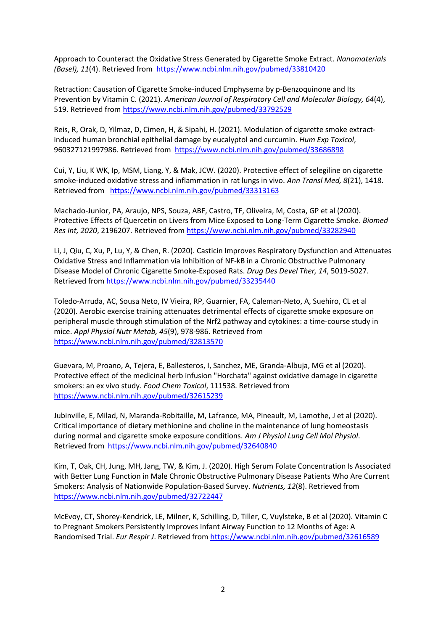Approach to Counteract the Oxidative Stress Generated by Cigarette Smoke Extract. *Nanomaterials (Basel), 11*(4). Retrieved from<https://www.ncbi.nlm.nih.gov/pubmed/33810420>

Retraction: Causation of Cigarette Smoke-induced Emphysema by p-Benzoquinone and Its Prevention by Vitamin C. (2021). *American Journal of Respiratory Cell and Molecular Biology, 64*(4), 519. Retrieved from<https://www.ncbi.nlm.nih.gov/pubmed/33792529>

Reis, R, Orak, D, Yilmaz, D, Cimen, H, & Sipahi, H. (2021). Modulation of cigarette smoke extractinduced human bronchial epithelial damage by eucalyptol and curcumin. *Hum Exp Toxicol*, 960327121997986. Retrieved from <https://www.ncbi.nlm.nih.gov/pubmed/33686898>

Cui, Y, Liu, K WK, Ip, MSM, Liang, Y, & Mak, JCW. (2020). Protective effect of selegiline on cigarette smoke-induced oxidative stress and inflammation in rat lungs in vivo. *Ann Transl Med, 8*(21), 1418. Retrieved from <https://www.ncbi.nlm.nih.gov/pubmed/33313163>

Machado-Junior, PA, Araujo, NPS, Souza, ABF, Castro, TF, Oliveira, M, Costa, GP et al (2020). Protective Effects of Quercetin on Livers from Mice Exposed to Long-Term Cigarette Smoke. *Biomed Res Int, 2020*, 2196207. Retrieved from<https://www.ncbi.nlm.nih.gov/pubmed/33282940>

Li, J, Qiu, C, Xu, P, Lu, Y, & Chen, R. (2020). Casticin Improves Respiratory Dysfunction and Attenuates Oxidative Stress and Inflammation via Inhibition of NF-kB in a Chronic Obstructive Pulmonary Disease Model of Chronic Cigarette Smoke-Exposed Rats. *Drug Des Devel Ther, 14*, 5019-5027. Retrieved from<https://www.ncbi.nlm.nih.gov/pubmed/33235440>

Toledo-Arruda, AC, Sousa Neto, IV Vieira, RP, Guarnier, FA, Caleman-Neto, A, Suehiro, CL et al (2020). Aerobic exercise training attenuates detrimental effects of cigarette smoke exposure on peripheral muscle through stimulation of the Nrf2 pathway and cytokines: a time-course study in mice. *Appl Physiol Nutr Metab, 45*(9), 978-986. Retrieved from <https://www.ncbi.nlm.nih.gov/pubmed/32813570>

Guevara, M, Proano, A, Tejera, E, Ballesteros, I, Sanchez, ME, Granda-Albuja, MG et al (2020). Protective effect of the medicinal herb infusion "Horchata" against oxidative damage in cigarette smokers: an ex vivo study. *Food Chem Toxicol*, 111538. Retrieved from <https://www.ncbi.nlm.nih.gov/pubmed/32615239>

Jubinville, E, Milad, N, Maranda-Robitaille, M, Lafrance, MA, Pineault, M, Lamothe, J et al (2020). Critical importance of dietary methionine and choline in the maintenance of lung homeostasis during normal and cigarette smoke exposure conditions. *Am J Physiol Lung Cell Mol Physiol*. Retrieved from <https://www.ncbi.nlm.nih.gov/pubmed/32640840>

Kim, T, Oak, CH, Jung, MH, Jang, TW, & Kim, J. (2020). High Serum Folate Concentration Is Associated with Better Lung Function in Male Chronic Obstructive Pulmonary Disease Patients Who Are Current Smokers: Analysis of Nationwide Population-Based Survey. *Nutrients, 12*(8). Retrieved from <https://www.ncbi.nlm.nih.gov/pubmed/32722447>

McEvoy, CT, Shorey-Kendrick, LE, Milner, K, Schilling, D, Tiller, C, Vuylsteke, B et al (2020). Vitamin C to Pregnant Smokers Persistently Improves Infant Airway Function to 12 Months of Age: A Randomised Trial. *Eur Respir J*. Retrieved fro[m https://www.ncbi.nlm.nih.gov/pubmed/32616589](https://www.ncbi.nlm.nih.gov/pubmed/32616589)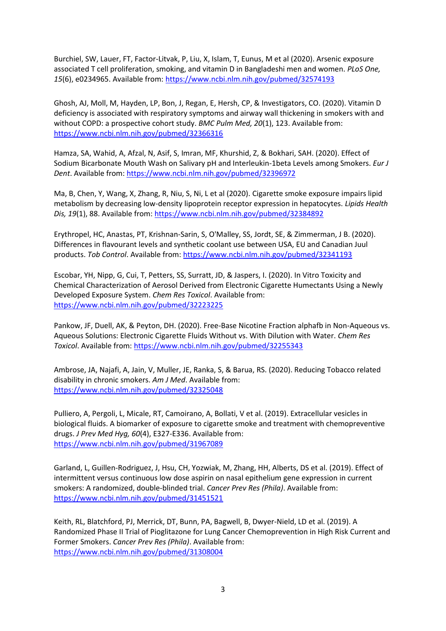Burchiel, SW, Lauer, FT, Factor-Litvak, P, Liu, X, Islam, T, Eunus, M et al (2020). Arsenic exposure associated T cell proliferation, smoking, and vitamin D in Bangladeshi men and women. *PLoS One, 15*(6), e0234965. Available from:<https://www.ncbi.nlm.nih.gov/pubmed/32574193>

Ghosh, AJ, Moll, M, Hayden, LP, Bon, J, Regan, E, Hersh, CP, & Investigators, CO. (2020). Vitamin D deficiency is associated with respiratory symptoms and airway wall thickening in smokers with and without COPD: a prospective cohort study. *BMC Pulm Med, 20*(1), 123. Available from: <https://www.ncbi.nlm.nih.gov/pubmed/32366316>

Hamza, SA, Wahid, A, Afzal, N, Asif, S, Imran, MF, Khurshid, Z, & Bokhari, SAH. (2020). Effect of Sodium Bicarbonate Mouth Wash on Salivary pH and Interleukin-1beta Levels among Smokers. *Eur J Dent*. Available from:<https://www.ncbi.nlm.nih.gov/pubmed/32396972>

Ma, B, Chen, Y, Wang, X, Zhang, R, Niu, S, Ni, L et al (2020). Cigarette smoke exposure impairs lipid metabolism by decreasing low-density lipoprotein receptor expression in hepatocytes. *Lipids Health Dis, 19*(1), 88. Available from:<https://www.ncbi.nlm.nih.gov/pubmed/32384892>

Erythropel, HC, Anastas, PT, Krishnan-Sarin, S, O'Malley, SS, Jordt, SE, & Zimmerman, J B. (2020). Differences in flavourant levels and synthetic coolant use between USA, EU and Canadian Juul products. *Tob Control*. Available from:<https://www.ncbi.nlm.nih.gov/pubmed/32341193>

Escobar, YH, Nipp, G, Cui, T, Petters, SS, Surratt, JD, & Jaspers, I. (2020). In Vitro Toxicity and Chemical Characterization of Aerosol Derived from Electronic Cigarette Humectants Using a Newly Developed Exposure System. *Chem Res Toxicol*. Available from: <https://www.ncbi.nlm.nih.gov/pubmed/32223225>

Pankow, JF, Duell, AK, & Peyton, DH. (2020). Free-Base Nicotine Fraction alphafb in Non-Aqueous vs. Aqueous Solutions: Electronic Cigarette Fluids Without vs. With Dilution with Water. *Chem Res Toxicol*. Available from[: https://www.ncbi.nlm.nih.gov/pubmed/32255343](https://www.ncbi.nlm.nih.gov/pubmed/32255343)

Ambrose, JA, Najafi, A, Jain, V, Muller, JE, Ranka, S, & Barua, RS. (2020). Reducing Tobacco related disability in chronic smokers. *Am J Med*. Available from: <https://www.ncbi.nlm.nih.gov/pubmed/32325048>

Pulliero, A, Pergoli, L, Micale, RT, Camoirano, A, Bollati, V et al. (2019). Extracellular vesicles in biological fluids. A biomarker of exposure to cigarette smoke and treatment with chemopreventive drugs. *J Prev Med Hyg, 60*(4), E327-E336. Available from: <https://www.ncbi.nlm.nih.gov/pubmed/31967089>

Garland, L, Guillen-Rodriguez, J, Hsu, CH, Yozwiak, M, Zhang, HH, Alberts, DS et al. (2019). Effect of intermittent versus continuous low dose aspirin on nasal epithelium gene expression in current smokers: A randomized, double-blinded trial. *Cancer Prev Res (Phila)*. Available from: <https://www.ncbi.nlm.nih.gov/pubmed/31451521>

Keith, RL, Blatchford, PJ, Merrick, DT, Bunn, PA, Bagwell, B, Dwyer-Nield, LD et al. (2019). A Randomized Phase II Trial of Pioglitazone for Lung Cancer Chemoprevention in High Risk Current and Former Smokers. *Cancer Prev Res (Phila)*. Available from: <https://www.ncbi.nlm.nih.gov/pubmed/31308004>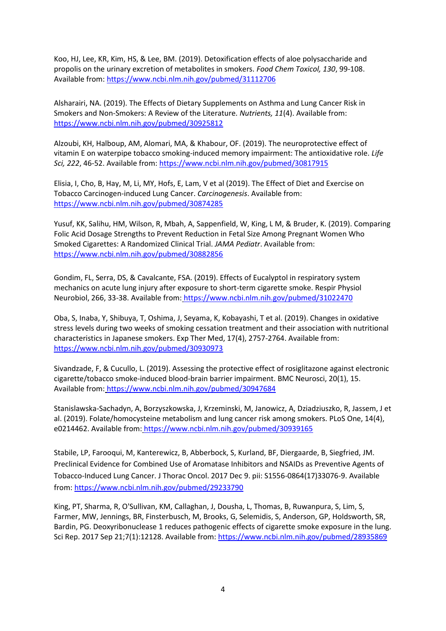Koo, HJ, Lee, KR, Kim, HS, & Lee, BM. (2019). Detoxification effects of aloe polysaccharide and propolis on the urinary excretion of metabolites in smokers. *Food Chem Toxicol, 130*, 99-108. Available from[: https://www.ncbi.nlm.nih.gov/pubmed/31112706](https://www.ncbi.nlm.nih.gov/pubmed/31112706)

Alsharairi, NA. (2019). The Effects of Dietary Supplements on Asthma and Lung Cancer Risk in Smokers and Non-Smokers: A Review of the Literature. *Nutrients, 11*(4). Available from: <https://www.ncbi.nlm.nih.gov/pubmed/30925812>

Alzoubi, KH, Halboup, AM, Alomari, MA, & Khabour, OF. (2019). The neuroprotective effect of vitamin E on waterpipe tobacco smoking-induced memory impairment: The antioxidative role. *Life Sci, 222*, 46-52. Available from[: https://www.ncbi.nlm.nih.gov/pubmed/30817915](https://www.ncbi.nlm.nih.gov/pubmed/30817915)

Elisia, I, Cho, B, Hay, M, Li, MY, Hofs, E, Lam, V et al (2019). The Effect of Diet and Exercise on Tobacco Carcinogen-induced Lung Cancer. *Carcinogenesis*. Available from: <https://www.ncbi.nlm.nih.gov/pubmed/30874285>

Yusuf, KK, Salihu, HM, Wilson, R, Mbah, A, Sappenfield, W, King, L M, & Bruder, K. (2019). Comparing Folic Acid Dosage Strengths to Prevent Reduction in Fetal Size Among Pregnant Women Who Smoked Cigarettes: A Randomized Clinical Trial. *JAMA Pediatr*. Available from: <https://www.ncbi.nlm.nih.gov/pubmed/30882856>

Gondim, FL, Serra, DS, & Cavalcante, FSA. (2019). Effects of Eucalyptol in respiratory system mechanics on acute lung injury after exposure to short-term cigarette smoke. Respir Physiol Neurobiol, 266, 33-38. Available from: <https://www.ncbi.nlm.nih.gov/pubmed/31022470>

Oba, S, Inaba, Y, Shibuya, T, Oshima, J, Seyama, K, Kobayashi, T et al. (2019). Changes in oxidative stress levels during two weeks of smoking cessation treatment and their association with nutritional characteristics in Japanese smokers. Exp Ther Med, 17(4), 2757-2764. Available from: <https://www.ncbi.nlm.nih.gov/pubmed/30930973>

Sivandzade, F, & Cucullo, L. (2019). Assessing the protective effect of rosiglitazone against electronic cigarette/tobacco smoke-induced blood-brain barrier impairment. BMC Neurosci, 20(1), 15. Available from: <https://www.ncbi.nlm.nih.gov/pubmed/30947684>

Stanislawska-Sachadyn, A, Borzyszkowska, J, Krzeminski, M, Janowicz, A, Dziadziuszko, R, Jassem, J et al. (2019). Folate/homocysteine metabolism and lung cancer risk among smokers. PLoS One, 14(4), e0214462. Available from: <https://www.ncbi.nlm.nih.gov/pubmed/30939165>

Stabile, LP, Farooqui, M, Kanterewicz, B, Abberbock, S, Kurland, BF, Diergaarde, B, Siegfried, JM. Preclinical Evidence for Combined Use of Aromatase Inhibitors and NSAIDs as Preventive Agents of Tobacco-Induced Lung Cancer. J Thorac Oncol. 2017 Dec 9. pii: S1556-0864(17)33076-9. Available from:<https://www.ncbi.nlm.nih.gov/pubmed/29233790>

King, PT, Sharma, R, O'Sullivan, KM, Callaghan, J, Dousha, L, Thomas, B, Ruwanpura, S, Lim, S, Farmer, MW, Jennings, BR, Finsterbusch, M, Brooks, G, Selemidis, S, Anderson, GP, Holdsworth, SR, Bardin, PG. Deoxyribonuclease 1 reduces pathogenic effects of cigarette smoke exposure in the lung. Sci Rep. 2017 Sep 21;7(1):12128. Available from:<https://www.ncbi.nlm.nih.gov/pubmed/28935869>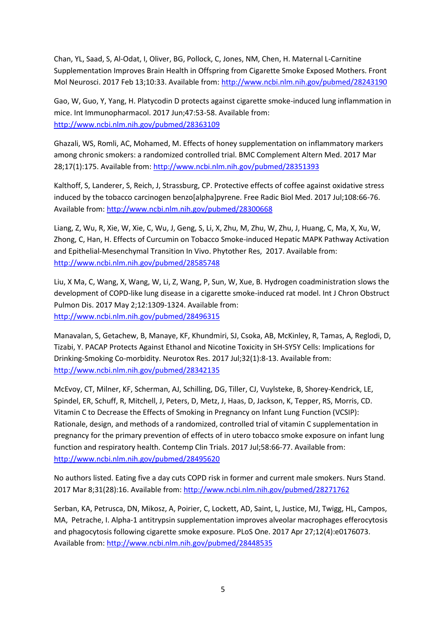Chan, YL, Saad, S, Al-Odat, I, Oliver, BG, Pollock, C, Jones, NM, Chen, H. Maternal L-Carnitine Supplementation Improves Brain Health in Offspring from Cigarette Smoke Exposed Mothers. Front Mol Neurosci. 2017 Feb 13;10:33. Available from[: http://www.ncbi.nlm.nih.gov/pubmed/28243190](http://www.ncbi.nlm.nih.gov/pubmed/28243190)

Gao, W, Guo, Y, Yang, H. Platycodin D protects against cigarette smoke-induced lung inflammation in mice. Int Immunopharmacol. 2017 Jun;47:53-58. Available from: <http://www.ncbi.nlm.nih.gov/pubmed/28363109>

Ghazali, WS, Romli, AC, Mohamed, M. Effects of honey supplementation on inflammatory markers among chronic smokers: a randomized controlled trial. BMC Complement Altern Med. 2017 Mar 28;17(1):175. Available from:<http://www.ncbi.nlm.nih.gov/pubmed/28351393>

Kalthoff, S, Landerer, S, Reich, J, Strassburg, CP. Protective effects of coffee against oxidative stress induced by the tobacco carcinogen benzo[alpha]pyrene. Free Radic Biol Med. 2017 Jul;108:66-76. Available from[: http://www.ncbi.nlm.nih.gov/pubmed/28300668](http://www.ncbi.nlm.nih.gov/pubmed/28300668)

Liang, Z, Wu, R, Xie, W, Xie, C, Wu, J, Geng, S, Li, X, Zhu, M, Zhu, W, Zhu, J, Huang, C, Ma, X, Xu, W, Zhong, C, Han, H. Effects of Curcumin on Tobacco Smoke-induced Hepatic MAPK Pathway Activation and Epithelial-Mesenchymal Transition In Vivo. Phytother Res, 2017. Available from: <http://www.ncbi.nlm.nih.gov/pubmed/28585748>

Liu, X Ma, C, Wang, X, Wang, W, Li, Z, Wang, P, Sun, W, Xue, B. Hydrogen coadministration slows the development of COPD-like lung disease in a cigarette smoke-induced rat model. Int J Chron Obstruct Pulmon Dis. 2017 May 2;12:1309-1324. Available from: <http://www.ncbi.nlm.nih.gov/pubmed/28496315>

Manavalan, S, Getachew, B, Manaye, KF, Khundmiri, SJ, Csoka, AB, McKinley, R, Tamas, A, Reglodi, D, Tizabi, Y. PACAP Protects Against Ethanol and Nicotine Toxicity in SH-SY5Y Cells: Implications for Drinking-Smoking Co-morbidity. Neurotox Res. 2017 Jul;32(1):8-13. Available from: <http://www.ncbi.nlm.nih.gov/pubmed/28342135>

McEvoy, CT, Milner, KF, Scherman, AJ, Schilling, DG, Tiller, CJ, Vuylsteke, B, Shorey-Kendrick, LE, Spindel, ER, Schuff, R, Mitchell, J, Peters, D, Metz, J, Haas, D, Jackson, K, Tepper, RS, Morris, CD. Vitamin C to Decrease the Effects of Smoking in Pregnancy on Infant Lung Function (VCSIP): Rationale, design, and methods of a randomized, controlled trial of vitamin C supplementation in pregnancy for the primary prevention of effects of in utero tobacco smoke exposure on infant lung function and respiratory health. Contemp Clin Trials. 2017 Jul;58:66-77. Available from: <http://www.ncbi.nlm.nih.gov/pubmed/28495620>

No authors listed. Eating five a day cuts COPD risk in former and current male smokers. Nurs Stand. 2017 Mar 8;31(28):16. Available from:<http://www.ncbi.nlm.nih.gov/pubmed/28271762>

Serban, KA, Petrusca, DN, Mikosz, A, Poirier, C, Lockett, AD, Saint, L, Justice, MJ, Twigg, HL, Campos, MA, Petrache, I. Alpha-1 antitrypsin supplementation improves alveolar macrophages efferocytosis and phagocytosis following cigarette smoke exposure. PLoS One. 2017 Apr 27;12(4):e0176073. Available from[: http://www.ncbi.nlm.nih.gov/pubmed/28448535](http://www.ncbi.nlm.nih.gov/pubmed/28448535)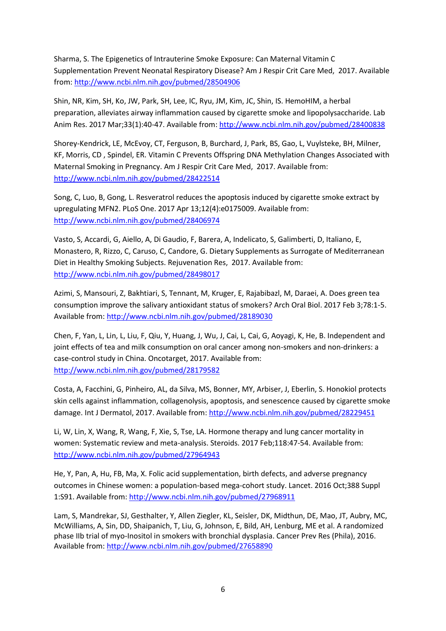Sharma, S. The Epigenetics of Intrauterine Smoke Exposure: Can Maternal Vitamin C Supplementation Prevent Neonatal Respiratory Disease? Am J Respir Crit Care Med, 2017. Available from:<http://www.ncbi.nlm.nih.gov/pubmed/28504906>

Shin, NR, Kim, SH, Ko, JW, Park, SH, Lee, IC, Ryu, JM, Kim, JC, Shin, IS. HemoHIM, a herbal preparation, alleviates airway inflammation caused by cigarette smoke and lipopolysaccharide. Lab Anim Res. 2017 Mar;33(1):40-47. Available from:<http://www.ncbi.nlm.nih.gov/pubmed/28400838>

Shorey-Kendrick, LE, McEvoy, CT, Ferguson, B, Burchard, J, Park, BS, Gao, L, Vuylsteke, BH, Milner, KF, Morris, CD , Spindel, ER. Vitamin C Prevents Offspring DNA Methylation Changes Associated with Maternal Smoking in Pregnancy. Am J Respir Crit Care Med, 2017. Available from: <http://www.ncbi.nlm.nih.gov/pubmed/28422514>

Song, C, Luo, B, Gong, L. Resveratrol reduces the apoptosis induced by cigarette smoke extract by upregulating MFN2. PLoS One. 2017 Apr 13;12(4):e0175009. Available from: <http://www.ncbi.nlm.nih.gov/pubmed/28406974>

Vasto, S, Accardi, G, Aiello, A, Di Gaudio, F, Barera, A, Indelicato, S, Galimberti, D, Italiano, E, Monastero, R, Rizzo, C, Caruso, C, Candore, G. Dietary Supplements as Surrogate of Mediterranean Diet in Healthy Smoking Subjects. Rejuvenation Res, 2017. Available from: <http://www.ncbi.nlm.nih.gov/pubmed/28498017>

Azimi, S, Mansouri, Z, Bakhtiari, S, Tennant, M, Kruger, E, Rajabibazl, M, Daraei, A. Does green tea consumption improve the salivary antioxidant status of smokers? Arch Oral Biol. 2017 Feb 3;78:1-5. Available from[: http://www.ncbi.nlm.nih.gov/pubmed/28189030](http://www.ncbi.nlm.nih.gov/pubmed/28189030)

Chen, F, Yan, L, Lin, L, Liu, F, Qiu, Y, Huang, J, Wu, J, Cai, L, Cai, G, Aoyagi, K, He, B. Independent and joint effects of tea and milk consumption on oral cancer among non-smokers and non-drinkers: a case-control study in China. Oncotarget, 2017. Available from: <http://www.ncbi.nlm.nih.gov/pubmed/28179582>

Costa, A, Facchini, G, Pinheiro, AL, da Silva, MS, Bonner, MY, Arbiser, J, Eberlin, S. Honokiol protects skin cells against inflammation, collagenolysis, apoptosis, and senescence caused by cigarette smoke damage. Int J Dermatol, 2017. Available from:<http://www.ncbi.nlm.nih.gov/pubmed/28229451>

Li, W, Lin, X, Wang, R, Wang, F, Xie, S, Tse, LA. Hormone therapy and lung cancer mortality in women: Systematic review and meta-analysis. Steroids. 2017 Feb;118:47-54. Available from: <http://www.ncbi.nlm.nih.gov/pubmed/27964943>

He, Y, Pan, A, Hu, FB, Ma, X. Folic acid supplementation, birth defects, and adverse pregnancy outcomes in Chinese women: a population-based mega-cohort study. Lancet. 2016 Oct;388 Suppl 1:S91. Available from:<http://www.ncbi.nlm.nih.gov/pubmed/27968911>

Lam, S, Mandrekar, SJ, Gesthalter, Y, Allen Ziegler, KL, Seisler, DK, Midthun, DE, Mao, JT, Aubry, MC, McWilliams, A, Sin, DD, Shaipanich, T, Liu, G, Johnson, E, Bild, AH, Lenburg, ME et al. A randomized phase IIb trial of myo-Inositol in smokers with bronchial dysplasia. Cancer Prev Res (Phila), 2016. Available from[: http://www.ncbi.nlm.nih.gov/pubmed/27658890](http://www.ncbi.nlm.nih.gov/pubmed/27658890)